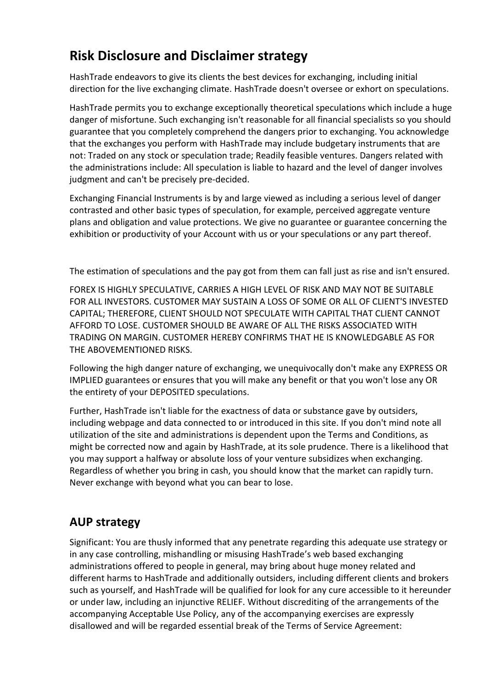# **Risk Disclosure and Disclaimer strategy**

HashTrade endeavors to give its clients the best devices for exchanging, including initial direction for the live exchanging climate. HashTrade doesn't oversee or exhort on speculations.

HashTrade permits you to exchange exceptionally theoretical speculations which include a huge danger of misfortune. Such exchanging isn't reasonable for all financial specialists so you should guarantee that you completely comprehend the dangers prior to exchanging. You acknowledge that the exchanges you perform with HashTrade may include budgetary instruments that are not: Traded on any stock or speculation trade; Readily feasible ventures. Dangers related with the administrations include: All speculation is liable to hazard and the level of danger involves judgment and can't be precisely pre-decided.

Exchanging Financial Instruments is by and large viewed as including a serious level of danger contrasted and other basic types of speculation, for example, perceived aggregate venture plans and obligation and value protections. We give no guarantee or guarantee concerning the exhibition or productivity of your Account with us or your speculations or any part thereof.

The estimation of speculations and the pay got from them can fall just as rise and isn't ensured.

FOREX IS HIGHLY SPECULATIVE, CARRIES A HIGH LEVEL OF RISK AND MAY NOT BE SUITABLE FOR ALL INVESTORS. CUSTOMER MAY SUSTAIN A LOSS OF SOME OR ALL OF CLIENT'S INVESTED CAPITAL; THEREFORE, CLIENT SHOULD NOT SPECULATE WITH CAPITAL THAT CLIENT CANNOT AFFORD TO LOSE. CUSTOMER SHOULD BE AWARE OF ALL THE RISKS ASSOCIATED WITH TRADING ON MARGIN. CUSTOMER HEREBY CONFIRMS THAT HE IS KNOWLEDGABLE AS FOR THE ABOVEMENTIONED RISKS.

Following the high danger nature of exchanging, we unequivocally don't make any EXPRESS OR IMPLIED guarantees or ensures that you will make any benefit or that you won't lose any OR the entirety of your DEPOSITED speculations.

Further, HashTrade isn't liable for the exactness of data or substance gave by outsiders, including webpage and data connected to or introduced in this site. If you don't mind note all utilization of the site and administrations is dependent upon the Terms and Conditions, as might be corrected now and again by HashTrade, at its sole prudence. There is a likelihood that you may support a halfway or absolute loss of your venture subsidizes when exchanging. Regardless of whether you bring in cash, you should know that the market can rapidly turn. Never exchange with beyond what you can bear to lose.

## **AUP strategy**

Significant: You are thusly informed that any penetrate regarding this adequate use strategy or in any case controlling, mishandling or misusing HashTrade's web based exchanging administrations offered to people in general, may bring about huge money related and different harms to HashTrade and additionally outsiders, including different clients and brokers such as yourself, and HashTrade will be qualified for look for any cure accessible to it hereunder or under law, including an injunctive RELIEF. Without discrediting of the arrangements of the accompanying Acceptable Use Policy, any of the accompanying exercises are expressly disallowed and will be regarded essential break of the Terms of Service Agreement: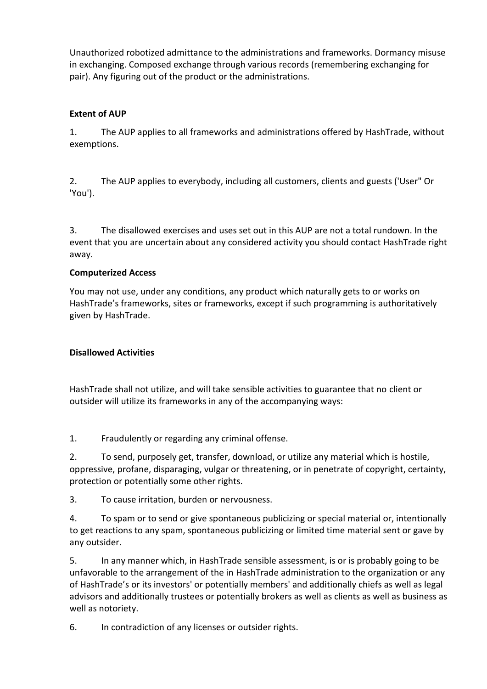Unauthorized robotized admittance to the administrations and frameworks. Dormancy misuse in exchanging. Composed exchange through various records (remembering exchanging for pair). Any figuring out of the product or the administrations.

### **Extent of AUP**

1. The AUP applies to all frameworks and administrations offered by HashTrade, without exemptions.

2. The AUP applies to everybody, including all customers, clients and guests ('User" Or 'You').

3. The disallowed exercises and uses set out in this AUP are not a total rundown. In the event that you are uncertain about any considered activity you should contact HashTrade right away.

#### **Computerized Access**

You may not use, under any conditions, any product which naturally gets to or works on HashTrade's frameworks, sites or frameworks, except if such programming is authoritatively given by HashTrade.

#### **Disallowed Activities**

HashTrade shall not utilize, and will take sensible activities to guarantee that no client or outsider will utilize its frameworks in any of the accompanying ways:

1. Fraudulently or regarding any criminal offense.

2. To send, purposely get, transfer, download, or utilize any material which is hostile, oppressive, profane, disparaging, vulgar or threatening, or in penetrate of copyright, certainty, protection or potentially some other rights.

3. To cause irritation, burden or nervousness.

4. To spam or to send or give spontaneous publicizing or special material or, intentionally to get reactions to any spam, spontaneous publicizing or limited time material sent or gave by any outsider.

5. In any manner which, in HashTrade sensible assessment, is or is probably going to be unfavorable to the arrangement of the in HashTrade administration to the organization or any of HashTrade's or its investors' or potentially members' and additionally chiefs as well as legal advisors and additionally trustees or potentially brokers as well as clients as well as business as well as notoriety.

6. In contradiction of any licenses or outsider rights.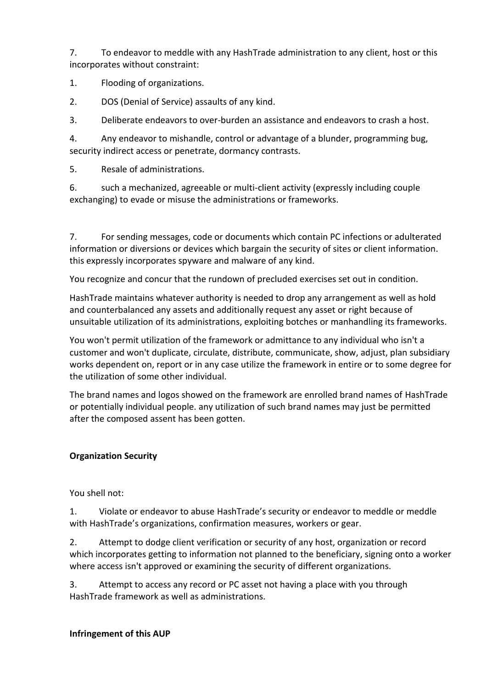7. To endeavor to meddle with any HashTrade administration to any client, host or this incorporates without constraint:

1. Flooding of organizations.

2. DOS (Denial of Service) assaults of any kind.

3. Deliberate endeavors to over-burden an assistance and endeavors to crash a host.

4. Any endeavor to mishandle, control or advantage of a blunder, programming bug, security indirect access or penetrate, dormancy contrasts.

5. Resale of administrations.

6. such a mechanized, agreeable or multi-client activity (expressly including couple exchanging) to evade or misuse the administrations or frameworks.

7. For sending messages, code or documents which contain PC infections or adulterated information or diversions or devices which bargain the security of sites or client information. this expressly incorporates spyware and malware of any kind.

You recognize and concur that the rundown of precluded exercises set out in condition.

HashTrade maintains whatever authority is needed to drop any arrangement as well as hold and counterbalanced any assets and additionally request any asset or right because of unsuitable utilization of its administrations, exploiting botches or manhandling its frameworks.

You won't permit utilization of the framework or admittance to any individual who isn't a customer and won't duplicate, circulate, distribute, communicate, show, adjust, plan subsidiary works dependent on, report or in any case utilize the framework in entire or to some degree for the utilization of some other individual.

The brand names and logos showed on the framework are enrolled brand names of HashTrade or potentially individual people. any utilization of such brand names may just be permitted after the composed assent has been gotten.

#### **Organization Security**

You shell not:

1. Violate or endeavor to abuse HashTrade's security or endeavor to meddle or meddle with HashTrade's organizations, confirmation measures, workers or gear.

2. Attempt to dodge client verification or security of any host, organization or record which incorporates getting to information not planned to the beneficiary, signing onto a worker where access isn't approved or examining the security of different organizations.

3. Attempt to access any record or PC asset not having a place with you through HashTrade framework as well as administrations.

#### **Infringement of this AUP**